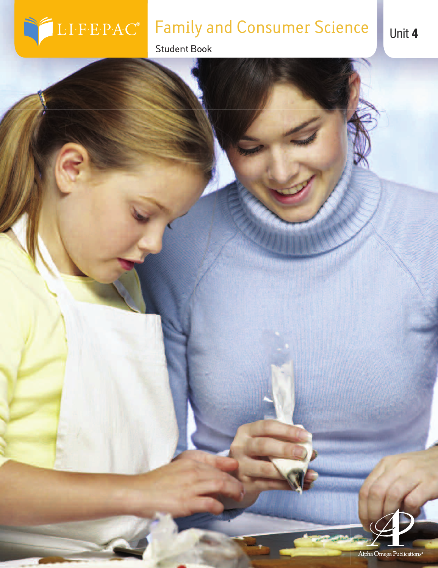# $LIF\cdot F\cdot P\cdot AC^*$ Family and Consumer Science Unit 4

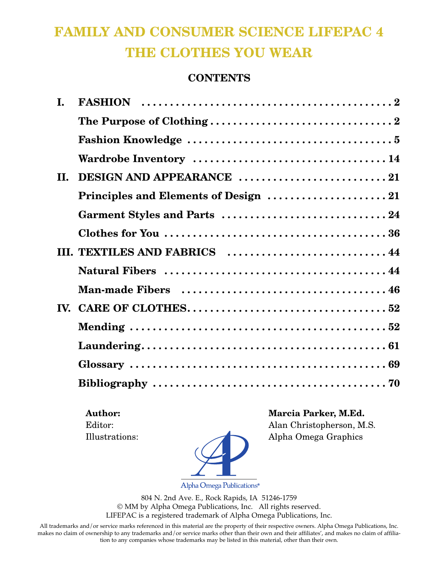# **FAMILY AND CONSUMER SCIENCE LIFEPAC 4 THE CLOTHES YOU WEAR**

# **CONTENTS**

| I.  |                               |  |
|-----|-------------------------------|--|
|     |                               |  |
|     |                               |  |
|     |                               |  |
| II. | DESIGN AND APPEARANCE 21      |  |
|     |                               |  |
|     | Garment Styles and Parts 24   |  |
|     |                               |  |
|     | III. TEXTILES AND FABRICS  44 |  |
|     |                               |  |
|     |                               |  |
|     |                               |  |
|     |                               |  |
|     |                               |  |
|     |                               |  |
|     |                               |  |

# **Author: Marcia Parker, M.Ed.**

Editor: Alan Christopherson, M.S. Illustrations: Alpha Omega Graphics



804 N. 2nd Ave. E., Rock Rapids, IA 51246-1759 © MM by Alpha Omega Publications, Inc. All rights reserved. LIFEPAC is a registered trademark of Alpha Omega Publications, Inc.

All trademarks and/or service marks referenced in this material are the property of their respective owners. Alpha Omega Publications, Inc. makes no claim of ownership to any trademarks and/or service marks other than their own and their affiliates', and makes no claim of affiliation to any companies whose trademarks may be listed in this material, other than their own.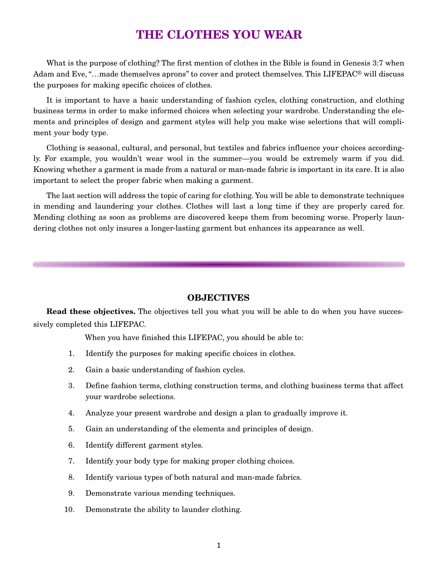# **THE CLOTHES YOU WEAR**

What is the purpose of clothing? The first mention of clothes in the Bible is found in Genesis 3:7 when Adam and Eve, "...made themselves aprons" to cover and protect themselves. This LIFEPAC<sup>®</sup> will discuss the purposes for making specific choices of clothes.

It is important to have a basic understanding of fashion cycles, clothing construction, and clothing business terms in order to make informed choices when selecting your wardrobe. Understanding the elements and principles of design and garment styles will help you make wise selections that will compliment your body type.

Clothing is seasonal, cultural, and personal, but textiles and fabrics influence your choices accordingly. For example, you wouldn't wear wool in the summer—you would be extremely warm if you did. Knowing whether a garment is made from a natural or man-made fabric is important in its care. It is also important to select the proper fabric when making a garment.

The last section will address the topic of caring for clothing. You will be able to demonstrate techniques in mending and laundering your clothes. Clothes will last a long time if they are properly cared for. Mending clothing as soon as problems are discovered keeps them from becoming worse. Properly laundering clothes not only insures a longer-lasting garment but enhances its appearance as well.

### **OBJECTIVES**

**Read these objectives.** The objectives tell you what you will be able to do when you have successively completed this LIFEPAC.

When you have finished this LIFEPAC, you should be able to:

- 1. Identify the purposes for making specific choices in clothes.
- 2. Gain a basic understanding of fashion cycles.
- 3. Define fashion terms, clothing construction terms, and clothing business terms that affect your wardrobe selections.
- 4. Analyze your present wardrobe and design a plan to gradually improve it.
- 5. Gain an understanding of the elements and principles of design.
- 6. Identify different garment styles.
- 7. Identify your body type for making proper clothing choices.
- 8. Identify various types of both natural and man-made fabrics.
- 9. Demonstrate various mending techniques.
- 10. Demonstrate the ability to launder clothing.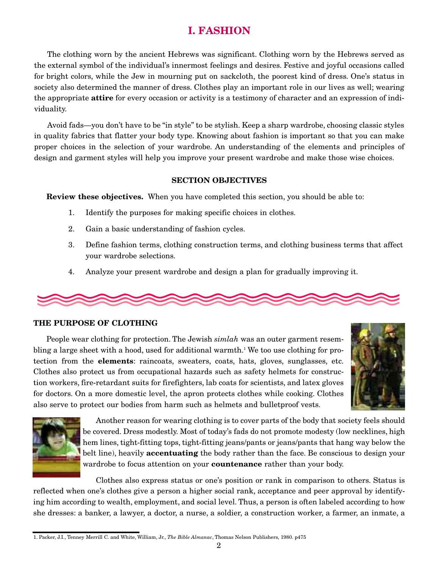# **I. FASHION**

The clothing worn by the ancient Hebrews was significant. Clothing worn by the Hebrews served as the external symbol of the individual's innermost feelings and desires. Festive and joyful occasions called for bright colors, while the Jew in mourning put on sackcloth, the poorest kind of dress. One's status in society also determined the manner of dress. Clothes play an important role in our lives as well; wearing the appropriate **attire** for every occasion or activity is a testimony of character and an expression of individuality.

Avoid fads—you don't have to be "in style" to be stylish. Keep a sharp wardrobe, choosing classic styles in quality fabrics that flatter your body type. Knowing about fashion is important so that you can make proper choices in the selection of your wardrobe. An understanding of the elements and principles of design and garment styles will help you improve your present wardrobe and make those wise choices.

### **SECTION OBJECTIVES**

**Review these objectives.** When you have completed this section, you should be able to:

- 1. Identify the purposes for making specific choices in clothes.
- 2. Gain a basic understanding of fashion cycles.
- 3. Define fashion terms, clothing construction terms, and clothing business terms that affect your wardrobe selections.
- 4. Analyze your present wardrobe and design a plan for gradually improving it.



# **THE PURPOSE OF CLOTHING**

People wear clothing for protection. The Jewish *simlah* was an outer garment resembling a large sheet with a hood, used for additional warmth.<sup>1</sup> We too use clothing for protection from the **elements**: raincoats, sweaters, coats, hats, gloves, sunglasses, etc. Clothes also protect us from occupational hazards such as safety helmets for construction workers, fire-retardant suits for firefighters, lab coats for scientists, and latex gloves for doctors. On a more domestic level, the apron protects clothes while cooking. Clothes also serve to protect our bodies from harm such as helmets and bulletproof vests.





Another reason for wearing clothing is to cover parts of the body that society feels should be covered. Dress modestly. Most of today's fads do not promote modesty (low necklines, high hem lines, tight-fitting tops, tight-fitting jeans/pants or jeans/pants that hang way below the belt line), heavily **accentuating** the body rather than the face. Be conscious to design your wardrobe to focus attention on your **countenance** rather than your body.

Clothes also express status or one's position or rank in comparison to others. Status is reflected when one's clothes give a person a higher social rank, acceptance and peer approval by identifying him according to wealth, employment, and social level. Thus, a person is often labeled according to how she dresses: a banker, a lawyer, a doctor, a nurse, a soldier, a construction worker, a farmer, an inmate, a

<sup>1.</sup> Packer, J.I., Tenney Merrill C. and White, William, Jr., *The Bible Almanac*, Thomas Nelson Publishers, 1980. p475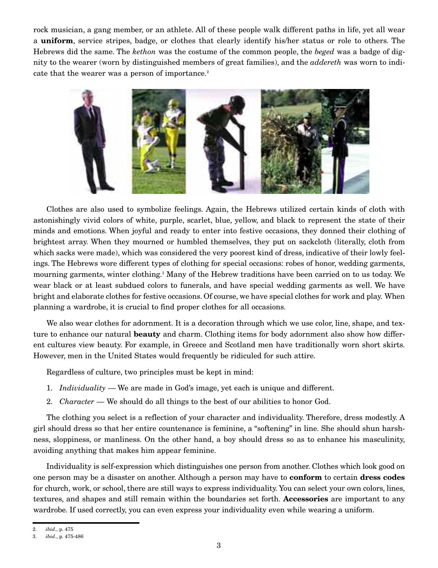rock musician, a gang member, or an athlete. All of these people walk different paths in life, yet all wear a **uniform**, service stripes, badge, or clothes that clearly identify his/her status or role to others. The Hebrews did the same. The *kethon* was the costume of the common people, the *beged* was a badge of dignity to the wearer (worn by distinguished members of great families), and the *addereth* was worn to indicate that the wearer was a person of importance.<sup>2</sup>



Clothes are also used to symbolize feelings. Again, the Hebrews utilized certain kinds of cloth with astonishingly vivid colors of white, purple, scarlet, blue, yellow, and black to represent the state of their minds and emotions. When joyful and ready to enter into festive occasions, they donned their clothing of brightest array. When they mourned or humbled themselves, they put on sackcloth (literally, cloth from which sacks were made), which was considered the very poorest kind of dress, indicative of their lowly feelings. The Hebrews wore different types of clothing for special occasions: robes of honor, wedding garments, mourning garments, winter clothing. <sup>3</sup> Many of the Hebrew traditions have been carried on to us today. We wear black or at least subdued colors to funerals, and have special wedding garments as well. We have bright and elaborate clothes for festive occasions. Of course, we have special clothes for work and play. When planning a wardrobe, it is crucial to find proper clothes for all occasions.

We also wear clothes for adornment. It is a decoration through which we use color, line, shape, and texture to enhance our natural **beauty** and charm. Clothing items for body adornment also show how different cultures view beauty. For example, in Greece and Scotland men have traditionally worn short skirts. However, men in the United States would frequently be ridiculed for such attire.

Regardless of culture, two principles must be kept in mind:

- 1. *Individuality* We are made in God's image, yet each is unique and different.
- 2. *Character* We should do all things to the best of our abilities to honor God.

The clothing you select is a reflection of your character and individuality. Therefore, dress modestly. A girl should dress so that her entire countenance is feminine, a "softening" in line. She should shun harshness, sloppiness, or manliness. On the other hand, a boy should dress so as to enhance his masculinity, avoiding anything that makes him appear feminine.

Individuality is self-expression which distinguishes one person from another. Clothes which look good on one person may be a disaster on another. Although a person may have to **conform** to certain **dress codes** for church, work, or school, there are still ways to express individuality. You can select your own colors, lines, textures, and shapes and still remain within the boundaries set forth. **Accessories** are important to any wardrobe. If used correctly, you can even express your individuality even while wearing a uniform.

<sup>2.</sup> *ibid*., p. 475

<sup>3.</sup> *ibid*., p. 475-486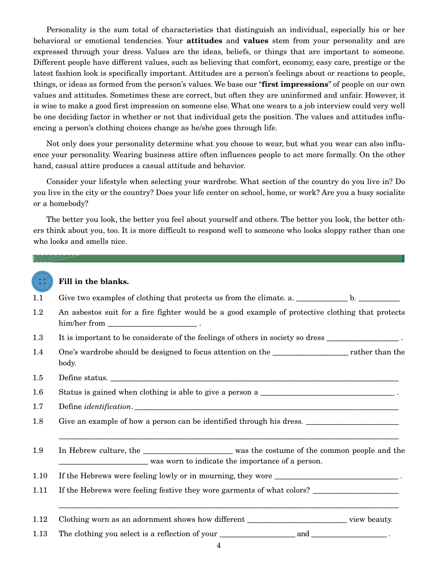Personality is the sum total of characteristics that distinguish an individual, especially his or her behavioral or emotional tendencies. Your **attitudes** and **values** stem from your personality and are expressed through your dress. Values are the ideas, beliefs, or things that are important to someone. Different people have different values, such as believing that comfort, economy, easy care, prestige or the latest fashion look is specifically important. Attitudes are a person's feelings about or reactions to people, things, or ideas as formed from the person's values. We base our "**first impressions**" of people on our own values and attitudes. Sometimes these are correct, but often they are uninformed and unfair. However, it is wise to make a good first impression on someone else. What one wears to a job interview could very well be one deciding factor in whether or not that individual gets the position. The values and attitudes influencing a person's clothing choices change as he/she goes through life.

Not only does your personality determine what you choose to wear, but what you wear can also influence your personality. Wearing business attire often influences people to act more formally. On the other hand, casual attire produces a casual attitude and behavior.

Consider your lifestyle when selecting your wardrobe. What section of the country do you live in? Do you live in the city or the country? Does your life center on school, home, or work? Are you a busy socialite or a homebody?

The better you look, the better you feel about yourself and others. The better you look, the better others think about you, too. It is more difficult to respond well to someone who looks sloppy rather than one who looks and smells nice.

| $\frac{1}{2}$ . | Fill in the blanks.                                                                                                                              |  |  |  |  |
|-----------------|--------------------------------------------------------------------------------------------------------------------------------------------------|--|--|--|--|
| 1.1             |                                                                                                                                                  |  |  |  |  |
| 1.2             | An asbestos suit for a fire fighter would be a good example of protective clothing that protects                                                 |  |  |  |  |
| 1.3             | It is important to be considerate of the feelings of others in society so dress _________________.                                               |  |  |  |  |
| 1.4             | body.                                                                                                                                            |  |  |  |  |
| 1.5             | Define status.                                                                                                                                   |  |  |  |  |
| 1.6             |                                                                                                                                                  |  |  |  |  |
| 1.7             | Define <i>identification</i> .                                                                                                                   |  |  |  |  |
| 1.8             | Give an example of how a person can be identified through his dress.                                                                             |  |  |  |  |
| 1.9             | In Hebrew culture, the ________________________ was the costume of the common people and the<br>was worn to indicate the importance of a person. |  |  |  |  |
| 1.10            |                                                                                                                                                  |  |  |  |  |
| 1.11            | If the Hebrews were feeling festive they wore garments of what colors?                                                                           |  |  |  |  |
| 1.12            | Clothing worn as an adornment shows how different _____________________________ view beauty.                                                     |  |  |  |  |
| 1.13            |                                                                                                                                                  |  |  |  |  |
|                 | 4                                                                                                                                                |  |  |  |  |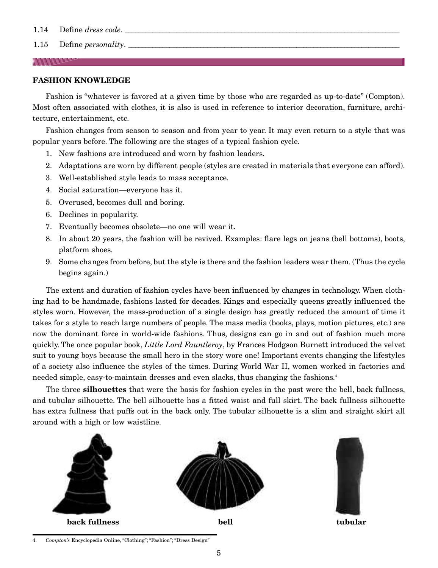1.14 Define *dress code*.

### 1.15 Define *personality*.

### **FASHION KNOWLEDGE**

Fashion is "whatever is favored at a given time by those who are regarded as up-to-date" (Compton). Most often associated with clothes, it is also is used in reference to interior decoration, furniture, architecture, entertainment, etc.

Fashion changes from season to season and from year to year. It may even return to a style that was popular years before. The following are the stages of a typical fashion cycle.

- 1. New fashions are introduced and worn by fashion leaders.
- 2. Adaptations are worn by different people (styles are created in materials that everyone can afford).
- 3. Well-established style leads to mass acceptance.
- 4. Social saturation—everyone has it.
- 5. Overused, becomes dull and boring.
- 6. Declines in popularity.
- 7. Eventually becomes obsolete—no one will wear it.
- 8. In about 20 years, the fashion will be revived. Examples: flare legs on jeans (bell bottoms), boots, platform shoes.
- 9. Some changes from before, but the style is there and the fashion leaders wear them. (Thus the cycle begins again.)

The extent and duration of fashion cycles have been influenced by changes in technology. When clothing had to be handmade, fashions lasted for decades. Kings and especially queens greatly influenced the styles worn. However, the mass-production of a single design has greatly reduced the amount of time it takes for a style to reach large numbers of people. The mass media (books, plays, motion pictures, etc.) are now the dominant force in world-wide fashions. Thus, designs can go in and out of fashion much more quickly. The once popular book, *Little Lord Fauntleroy*, by Frances Hodgson Burnett introduced the velvet suit to young boys because the small hero in the story wore one! Important events changing the lifestyles of a society also influence the styles of the times. During World War II, women worked in factories and needed simple, easy-to-maintain dresses and even slacks, thus changing the fashions. 4

The three **silhouettes** that were the basis for fashion cycles in the past were the bell, back fullness, and tubular silhouette. The bell silhouette has a fitted waist and full skirt. The back fullness silhouette has extra fullness that puffs out in the back only. The tubular silhouette is a slim and straight skirt all around with a high or low waistline.



<sup>4.</sup> *Compton's* Encyclopedia Online, "Clothing"; "Fashion"; "Dress Design"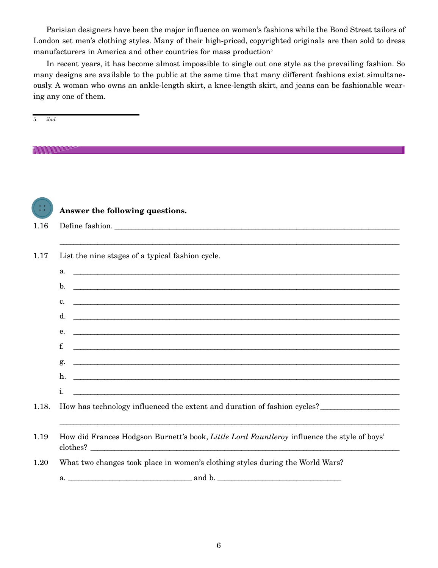Parisian designers have been the major influence on women's fashions while the Bond Street tailors of London set men's clothing styles. Many of their high-priced, copyrighted originals are then sold to dress manufacturers in America and other countries for mass production5

In recent years, it has become almost impossible to single out one style as the prevailing fashion. So many designs are available to the public at the same time that many different fashions exist simultaneously. A woman who owns an ankle-length skirt, a knee-length skirt, and jeans can be fashionable wearing any one of them.

| 5.<br>ibid |                                                                                                                                          |
|------------|------------------------------------------------------------------------------------------------------------------------------------------|
|            |                                                                                                                                          |
|            |                                                                                                                                          |
|            |                                                                                                                                          |
|            |                                                                                                                                          |
|            | Answer the following questions.                                                                                                          |
| 1.16       |                                                                                                                                          |
|            |                                                                                                                                          |
| 1.17       | List the nine stages of a typical fashion cycle.                                                                                         |
|            | a.<br><u> 2000 - Jan Barbara, martxa al II-lea (h. 1878).</u>                                                                            |
|            | <u> 1989 - Johann Stoff, deutscher Stoffen und der Stoffen und der Stoffen und der Stoffen und der Stoffen und der</u><br>$\mathbf{b}$ . |
|            | c.                                                                                                                                       |
|            | d.                                                                                                                                       |
|            | е.                                                                                                                                       |
|            | f.                                                                                                                                       |
|            | g.                                                                                                                                       |
|            | <u> 1999 - Johann Harry Harry Harry Harry Harry Harry Harry Harry Harry Harry Harry Harry Harry Harry Harry Harry H</u><br>h.            |
|            | i.                                                                                                                                       |
| 1.18.      | How has technology influenced the extent and duration of fashion cycles?___________________________                                      |
|            |                                                                                                                                          |
| 1.19       | How did Frances Hodgson Burnett's book, Little Lord Fauntleroy influence the style of boys'                                              |
| 1.20       | What two changes took place in women's clothing styles during the World Wars?                                                            |
|            | and b.<br>a.                                                                                                                             |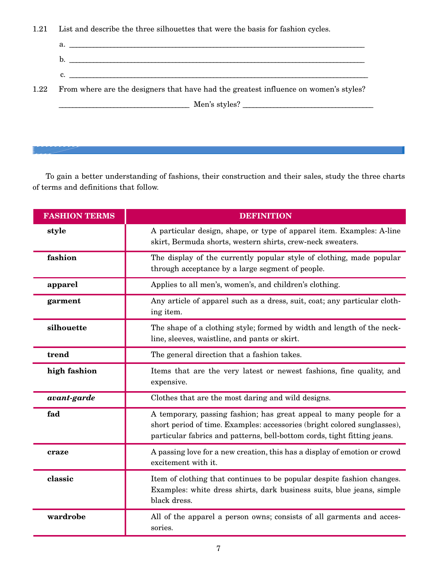1.21 List and describe the three silhouettes that were the basis for fashion cycles.

|          | $a.$ $a.$                                                                            |
|----------|--------------------------------------------------------------------------------------|
|          |                                                                                      |
|          | $\mathbf{c}$ .                                                                       |
| $1.22\,$ | From where are the designers that have had the greatest influence on women's styles? |
|          | Men's styles?                                                                        |
|          |                                                                                      |

To gain a better understanding of fashions, their construction and their sales, study the three charts of terms and definitions that follow.

| <b>FASHION TERMS</b> | <b>DEFINITION</b>                                                                                                                                                                                                           |  |  |
|----------------------|-----------------------------------------------------------------------------------------------------------------------------------------------------------------------------------------------------------------------------|--|--|
| style                | A particular design, shape, or type of apparel item. Examples: A-line<br>skirt, Bermuda shorts, western shirts, crew-neck sweaters.                                                                                         |  |  |
| fashion              | The display of the currently popular style of clothing, made popular<br>through acceptance by a large segment of people.                                                                                                    |  |  |
| apparel              | Applies to all men's, women's, and children's clothing.                                                                                                                                                                     |  |  |
| garment              | Any article of apparel such as a dress, suit, coat; any particular cloth-<br>ing item.                                                                                                                                      |  |  |
| silhouette           | The shape of a clothing style; formed by width and length of the neck-<br>line, sleeves, waistline, and pants or skirt.                                                                                                     |  |  |
| trend                | The general direction that a fashion takes.                                                                                                                                                                                 |  |  |
| high fashion         | Items that are the very latest or newest fashions, fine quality, and<br>expensive.                                                                                                                                          |  |  |
| avant-garde          | Clothes that are the most daring and wild designs.                                                                                                                                                                          |  |  |
| fad                  | A temporary, passing fashion; has great appeal to many people for a<br>short period of time. Examples: accessories (bright colored sunglasses),<br>particular fabrics and patterns, bell-bottom cords, tight fitting jeans. |  |  |
| craze                | A passing love for a new creation, this has a display of emotion or crowd<br>excitement with it.                                                                                                                            |  |  |
| classic              | Item of clothing that continues to be popular despite fashion changes.<br>Examples: white dress shirts, dark business suits, blue jeans, simple<br>black dress.                                                             |  |  |
| wardrobe             | All of the apparel a person owns; consists of all garments and acces-<br>sories.                                                                                                                                            |  |  |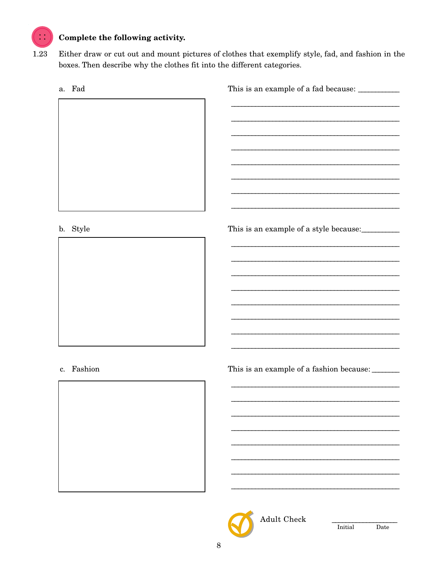

# Complete the following activity.

- 1.23 Either draw or cut out and mount pictures of clothes that exemplify style, fad, and fashion in the boxes. Then describe why the clothes fit into the different categories.
	- a. Fad

This is an example of a fad because: \_\_\_\_\_\_\_\_\_\_\_\_



# b. Style



This is an example of a style because:

# c. Fashion



This is an example of a fashion because:



Adult Check

Date

Initial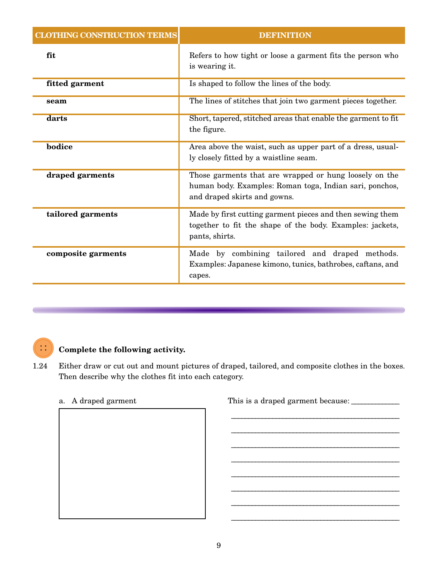| <b>CLOTHING CONSTRUCTION TERMS</b> | <b>DEFINITION</b>                                                                                                                                 |
|------------------------------------|---------------------------------------------------------------------------------------------------------------------------------------------------|
| fit                                | Refers to how tight or loose a garment fits the person who<br>is wearing it.                                                                      |
| fitted garment                     | Is shaped to follow the lines of the body.                                                                                                        |
| seam                               | The lines of stitches that join two garment pieces together.                                                                                      |
| darts                              | Short, tapered, stitched areas that enable the garment to fit<br>the figure.                                                                      |
| bodice                             | Area above the waist, such as upper part of a dress, usual-<br>ly closely fitted by a waistline seam.                                             |
| draped garments                    | Those garments that are wrapped or hung loosely on the<br>human body. Examples: Roman toga, Indian sari, ponchos,<br>and draped skirts and gowns. |
| tailored garments                  | Made by first cutting garment pieces and then sewing them<br>together to fit the shape of the body. Examples: jackets,<br>pants, shirts.          |
| composite garments                 | Made by combining tailored and draped methods.<br>Examples: Japanese kimono, tunics, bathrobes, caftans, and<br>capes.                            |



# **Complete the following activity.**

- 1.24 Either draw or cut out and mount pictures of draped, tailored, and composite clothes in the boxes. Then describe why the clothes fit into each category.
	-

a. A draped garment This is a draped garment because: \_\_\_\_\_\_\_\_\_\_\_\_\_\_\_\_\_\_\_\_\_\_\_\_\_\_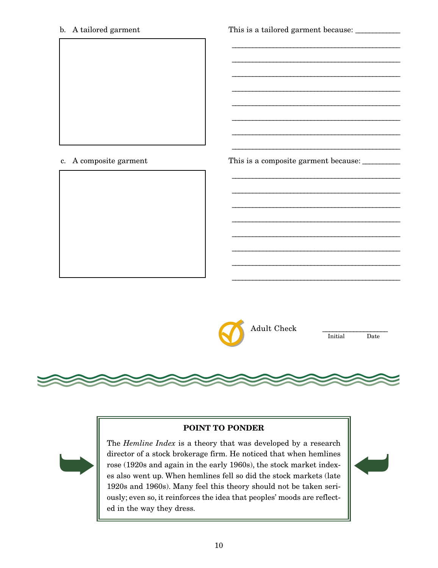b. A tailored garment This is a tailored garment because: \_\_\_\_\_\_\_\_\_\_\_\_\_\_\_\_\_\_\_\_\_\_



c. A composite garment This is a composite garment because:





Initial Date

# **POINT TO PONDER**



The *Hemline Index* is a theory that was developed by a research director of a stock brokerage firm. He noticed that when hemlines rose (1920s and again in the early 1960s), the stock market indexes also went up. When hemlines fell so did the stock markets (late 1920s and 1960s). Many feel this theory should not be taken seriously; even so, it reinforces the idea that peoples' moods are reflected in the way they dress. The *Hemline Index* is a theory that was developed by a research<br>director of a stock brokerage firm. He noticed that when hemlines<br>rose (1920s and again in the early 1960s), the stock market index-<br>es also went up. When he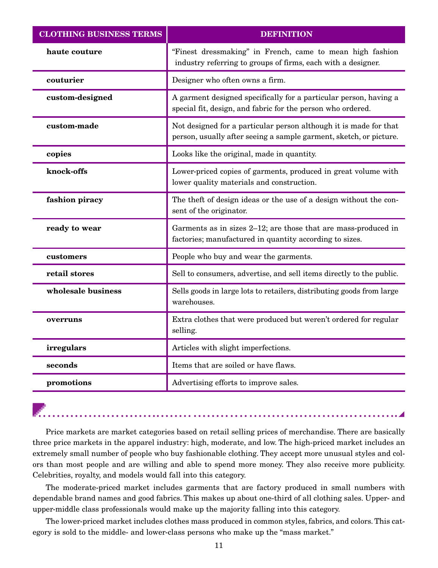| <b>CLOTHING BUSINESS TERMS</b> | <b>DEFINITION</b>                                                                                                                       |  |  |  |
|--------------------------------|-----------------------------------------------------------------------------------------------------------------------------------------|--|--|--|
| haute couture                  | "Finest dressmaking" in French, came to mean high fashion<br>industry referring to groups of firms, each with a designer.               |  |  |  |
| couturier                      | Designer who often owns a firm.                                                                                                         |  |  |  |
| custom-designed                | A garment designed specifically for a particular person, having a<br>special fit, design, and fabric for the person who ordered.        |  |  |  |
| custom-made                    | Not designed for a particular person although it is made for that<br>person, usually after seeing a sample garment, sketch, or picture. |  |  |  |
| copies                         | Looks like the original, made in quantity.                                                                                              |  |  |  |
| knock-offs                     | Lower-priced copies of garments, produced in great volume with<br>lower quality materials and construction.                             |  |  |  |
| fashion piracy                 | The theft of design ideas or the use of a design without the con-<br>sent of the originator.                                            |  |  |  |
| ready to wear                  | Garments as in sizes $2-12$ ; are those that are mass-produced in<br>factories; manufactured in quantity according to sizes.            |  |  |  |
| customers                      | People who buy and wear the garments.                                                                                                   |  |  |  |
| retail stores                  | Sell to consumers, advertise, and sell items directly to the public.                                                                    |  |  |  |
| wholesale business             | Sells goods in large lots to retailers, distributing goods from large<br>warehouses.                                                    |  |  |  |
| overruns                       | Extra clothes that were produced but weren't ordered for regular<br>selling.                                                            |  |  |  |
| irregulars                     | Articles with slight imperfections.                                                                                                     |  |  |  |
| seconds                        | Items that are soiled or have flaws.                                                                                                    |  |  |  |
| promotions                     | Advertising efforts to improve sales.                                                                                                   |  |  |  |

Price markets are market categories based on retail selling prices of merchandise. There are basically three price markets in the apparel industry: high, moderate, and low. The high-priced market includes an extremely small number of people who buy fashionable clothing. They accept more unusual styles and colors than most people and are willing and able to spend more money. They also receive more publicity. Celebrities, royalty, and models would fall into this category.

. . . . . . . . . . . . . .

The moderate-priced market includes garments that are factory produced in small numbers with dependable brand names and good fabrics. This makes up about one-third of all clothing sales. Upper- and upper-middle class professionals would make up the majority falling into this category.

The lower-priced market includes clothes mass produced in common styles, fabrics, and colors.This category is sold to the middle- and lower-class persons who make up the "mass market."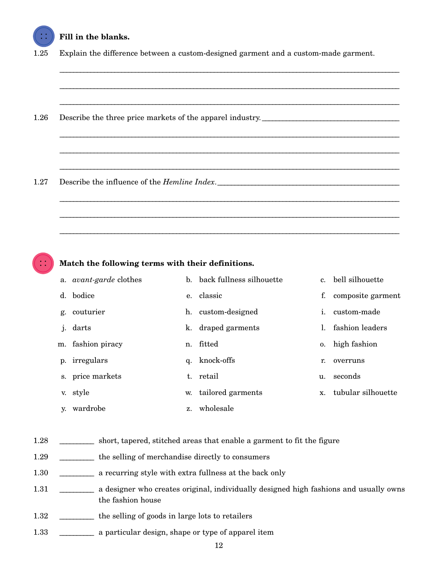## **Fill in the blanks.**

1.25 Explain the difference between a custom-designed garment and a custom-made garment.

1.26 Describe the three price markets of the apparel industry.

1.27 Describe the influence of the *Hemline Index*.

### **Match the following terms with their definitions.**

| a. <i>avant-garde</i> clothes | b. back fullness silhouette |    | c. bell silhouette    |
|-------------------------------|-----------------------------|----|-----------------------|
| d. bodice                     | e. classic                  | f. | composite garment     |
| g. couturier                  | h. custom-designed          |    | <i>i.</i> custom-made |
| j. darts                      | k. draped garments          |    | l. fashion leaders    |
| m. fashion piracy             | n. fitted                   |    | o. high fashion       |
| p. irregulars                 | q. knock-offs               | r. | overruns              |
| s. price markets              | t. retail                   |    | u. seconds            |
| v. style                      | w. tailored garments        |    | x. tubular silhouette |
| y. wardrobe                   | z. wholesale                |    |                       |

| 1.28 |  | short, tapered, stitched areas that enable a garment to fit the figure |  |  |  |  |
|------|--|------------------------------------------------------------------------|--|--|--|--|
|------|--|------------------------------------------------------------------------|--|--|--|--|

- 1.29 **halo** the selling of merchandise directly to consumers
- 1.30 \_\_\_\_\_\_\_\_\_\_\_\_ a recurring style with extra fullness at the back only
- 1.31 \_\_\_\_\_\_\_\_\_\_ a designer who creates original, individually designed high fashions and usually owns the fashion house
- 1.32 \_\_\_\_\_\_\_\_\_\_\_\_ the selling of goods in large lots to retailers
- 1.33 \_\_\_\_\_\_\_\_\_\_ a particular design, shape or type of apparel item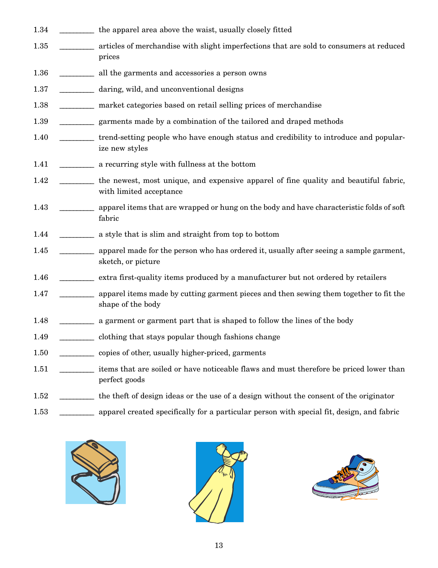- 1.34 \_\_\_\_\_\_\_\_\_\_\_ the apparel area above the waist, usually closely fitted
- 1.35 **Exercise** articles of merchandise with slight imperfections that are sold to consumers at reduced prices
- 1.36 all the garments and accessories a person owns
- 1.37 daring, wild, and unconventional designs
- 1.38 \_\_\_\_\_\_\_\_\_\_ market categories based on retail selling prices of merchandise
- 1.39 \_\_\_\_\_\_\_\_\_\_ garments made by a combination of the tailored and draped methods
- 1.40 \_\_\_\_\_\_\_\_\_\_ trend-setting people who have enough status and credibility to introduce and popularize new styles
- 1.41 **a** recurring style with fullness at the bottom
- 1.42 **the newest, most unique, and expensive apparel of fine quality and beautiful fabric,** with limited acceptance
- 1.43 \_\_\_\_\_\_\_\_\_\_ apparel items that are wrapped or hung on the body and have characteristic folds of soft fabric
- 1.44 **a** a style that is slim and straight from top to bottom
- 1.45 apparel made for the person who has ordered it, usually after seeing a sample garment, sketch, or picture
- 1.46 extra first-quality items produced by a manufacturer but not ordered by retailers
- 1.47 \_\_\_\_\_\_\_\_\_\_ apparel items made by cutting garment pieces and then sewing them together to fit the shape of the body
- 1.48 **a** garment or garment part that is shaped to follow the lines of the body
- 1.49 clothing that stays popular though fashions change
- 1.50 copies of other, usually higher-priced, garments
- 1.51 **Example 1.51** items that are soiled or have noticeable flaws and must therefore be priced lower than perfect goods
- 1.52 the theft of design ideas or the use of a design without the consent of the originator
- 1.53 \_\_\_\_\_\_\_\_\_\_ apparel created specifically for a particular person with special fit, design, and fabric





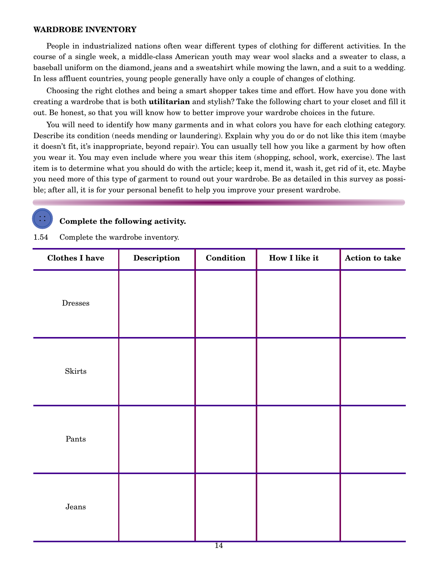### **WARDROBE INVENTORY**

People in industrialized nations often wear different types of clothing for different activities. In the course of a single week, a middle-class American youth may wear wool slacks and a sweater to class, a baseball uniform on the diamond, jeans and a sweatshirt while mowing the lawn, and a suit to a wedding. In less affluent countries, young people generally have only a couple of changes of clothing.

Choosing the right clothes and being a smart shopper takes time and effort. How have you done with creating a wardrobe that is both **utilitarian** and stylish? Take the following chart to your closet and fill it out. Be honest, so that you will know how to better improve your wardrobe choices in the future.

You will need to identify how many garments and in what colors you have for each clothing category. Describe its condition (needs mending or laundering). Explain why you do or do not like this item (maybe it doesn't fit, it's inappropriate, beyond repair). You can usually tell how you like a garment by how often you wear it. You may even include where you wear this item (shopping, school, work, exercise). The last item is to determine what you should do with the article; keep it, mend it, wash it, get rid of it, etc. Maybe you need more of this type of garment to round out your wardrobe. Be as detailed in this survey as possible; after all, it is for your personal benefit to help you improve your present wardrobe.



# **Complete the following activity.**

1.54 Complete the wardrobe inventory.

| <b>Clothes I have</b>                | Description | Condition | How I like it | Action to take |
|--------------------------------------|-------------|-----------|---------------|----------------|
| $\label{p:presses} \textsc{Dresses}$ |             |           |               |                |
| Skirts                               |             |           |               |                |
| $\rm{Pants}$                         |             |           |               |                |
| $\it Jeans$                          |             |           |               |                |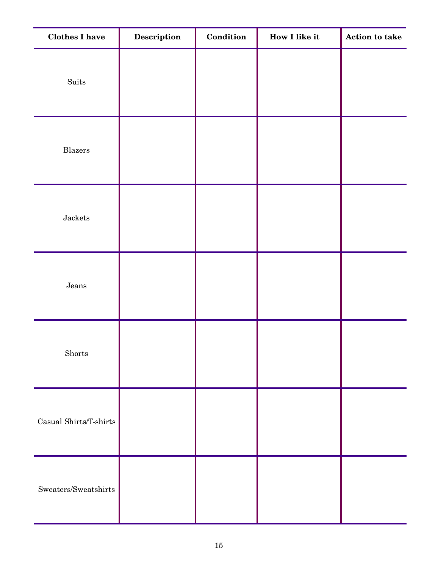| <b>Clothes I have</b>                     | Description | $\label{eq:condition} \textbf{Condition}$ | How I like it | Action to take |
|-------------------------------------------|-------------|-------------------------------------------|---------------|----------------|
| $\hbox{Suits}$                            |             |                                           |               |                |
| Blazers                                   |             |                                           |               |                |
| $\it Jackets$                             |             |                                           |               |                |
| $\it Jeans$                               |             |                                           |               |                |
| ${\hbox{\rm Shorts}}$                     |             |                                           |               |                |
| Casual Shirts/T-shirts                    |             |                                           |               |                |
| $\label{ex:1} {\rm Sweaters/Sweatshirts}$ |             |                                           |               |                |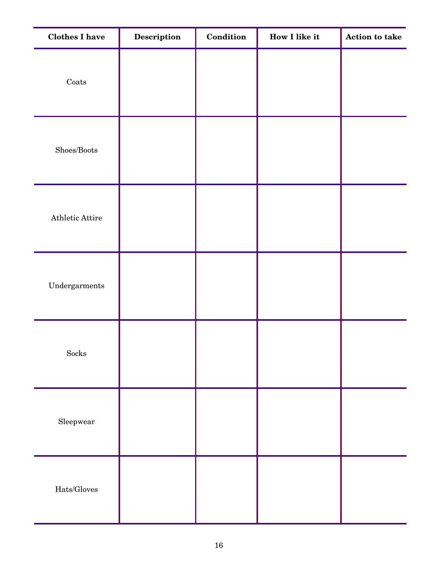| <b>Clothes I have</b>                                           | Description | Condition | How I like it | Action to take |
|-----------------------------------------------------------------|-------------|-----------|---------------|----------------|
| $\rm{Coats}$                                                    |             |           |               |                |
| $\operatorname{Shoes}/\operatorname{Roots}$                     |             |           |               |                |
| Athletic Attire                                                 |             |           |               |                |
| $\label{thm:undergarments} Under \textit{garments}$             |             |           |               |                |
| $\operatorname{Socks}$                                          |             |           |               |                |
| ${\bf S} le \texttt{e} {\bf p} {\bf w} {\bf e} {\bf a} {\bf r}$ |             |           |               |                |
| $\operatorname{Hats/Gloves}$                                    |             |           |               |                |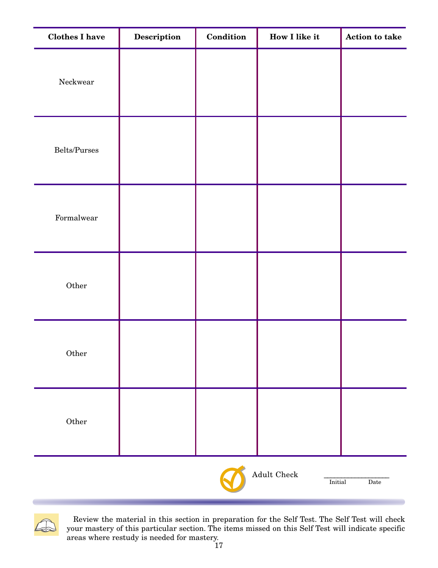



Review the material in this section in preparation for the Self Test. The Self Test will check your mastery of this particular section. The items missed on this Self Test will indicate specific areas where restudy is needed for mastery.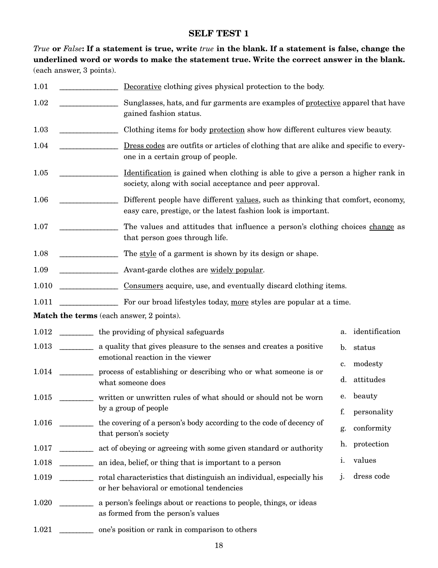# **SELF TEST 1**

True or False: If a statement is true, write true in the blank. If a statement is false, change the **underlined word or words to make the statement true. Write the correct answer in the blank.** (each answer, 3 points).

| 1.01  | Decorative clothing gives physical protection to the body.                                                                                       |                |                       |  |  |
|-------|--------------------------------------------------------------------------------------------------------------------------------------------------|----------------|-----------------------|--|--|
| 1.02  | Sunglasses, hats, and fur garments are examples of protective apparel that have<br>gained fashion status.                                        |                |                       |  |  |
| 1.03  | Clothing items for body protection show how different cultures view beauty.                                                                      |                |                       |  |  |
| 1.04  | Dress codes are outfits or articles of clothing that are alike and specific to every-<br>one in a certain group of people.                       |                |                       |  |  |
| 1.05  | Identification is gained when clothing is able to give a person a higher rank in<br>society, along with social acceptance and peer approval.     |                |                       |  |  |
| 1.06  | Different people have different values, such as thinking that comfort, economy,<br>easy care, prestige, or the latest fashion look is important. |                |                       |  |  |
| 1.07  | The values and attitudes that influence a person's clothing choices change as<br>that person goes through life.                                  |                |                       |  |  |
| 1.08  | The style of a garment is shown by its design or shape.                                                                                          |                |                       |  |  |
| 1.09  | Avant-garde clothes are widely popular.                                                                                                          |                |                       |  |  |
| 1.010 | Consumers acquire, use, and eventually discard clothing items.                                                                                   |                |                       |  |  |
| 1.011 | For our broad lifestyles today, more styles are popular at a time.                                                                               |                |                       |  |  |
|       | <b>Match the terms</b> (each answer, 2 points).                                                                                                  |                |                       |  |  |
| 1.012 | the providing of physical safeguards                                                                                                             | a.             | identification        |  |  |
| 1.013 | a quality that gives pleasure to the senses and creates a positive<br>emotional reaction in the viewer                                           | $\mathbf{b}$ . | status<br>modesty     |  |  |
| 1.014 | process of establishing or describing who or what someone is or<br>what someone does                                                             | c.<br>d.       | attitudes             |  |  |
| 1.015 | written or unwritten rules of what should or should not be worn<br>by a group of people                                                          | е.<br>f.       | beauty<br>personality |  |  |
| 1.016 | the covering of a person's body according to the code of decency of<br>that person's society                                                     | g.             | conformity            |  |  |
| 1.017 | act of obeying or agreeing with some given standard or authority                                                                                 | h.             | protection            |  |  |
| 1.018 | an idea, belief, or thing that is important to a person                                                                                          | i.             | values                |  |  |
| 1.019 | rotal characteristics that distinguish an individual, especially his<br>or her behavioral or emotional tendencies                                | j.             | dress code            |  |  |
| 1.020 | a person's feelings about or reactions to people, things, or ideas<br>as formed from the person's values                                         |                |                       |  |  |
| 1.021 | one's position or rank in comparison to others                                                                                                   |                |                       |  |  |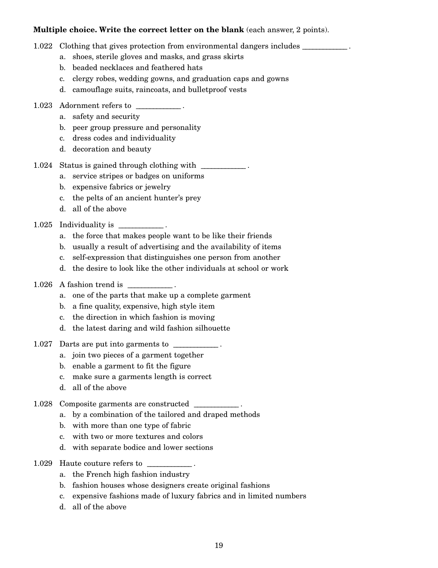# **Multiple choice. Write the correct letter on the blank** (each answer, 2 points).

- 1.022 Clothing that gives protection from environmental dangers includes \_\_\_\_\_\_\_\_\_\_\_\_\_ .
	- a. shoes, sterile gloves and masks, and grass skirts
	- b. beaded necklaces and feathered hats
	- c. clergy robes, wedding gowns, and graduation caps and gowns
	- d. camouflage suits, raincoats, and bulletproof vests
- 1.023 Adornment refers to  $\qquad \qquad .$ 
	- a. safety and security
	- b. peer group pressure and personality
	- c. dress codes and individuality
	- d. decoration and beauty
- 1.024 Status is gained through clothing with  $\blacksquare$ 
	- a. service stripes or badges on uniforms
	- b. expensive fabrics or jewelry
	- c. the pelts of an ancient hunter's prey
	- d. all of the above

# 1.025 Individuality is  $\qquad \qquad$ .

- a. the force that makes people want to be like their friends
- b. usually a result of advertising and the availability of items
- c. self-expression that distinguishes one person from another
- d. the desire to look like the other individuals at school or work

# 1.026 A fashion trend is

- a. one of the parts that make up a complete garment
- b. a fine quality, expensive, high style item
- c. the direction in which fashion is moving
- d. the latest daring and wild fashion silhouette
- 1.027 Darts are put into garments to  $\blacksquare$ .
	- a. join two pieces of a garment together
	- b. enable a garment to fit the figure
	- c. make sure a garments length is correct
	- d. all of the above

# 1.028 Composite garments are constructed \_\_\_\_\_\_\_\_\_\_\_\_\_ .

- a. by a combination of the tailored and draped methods
- b. with more than one type of fabric
- c. with two or more textures and colors
- d. with separate bodice and lower sections
- 1.029 Haute couture refers to  $\qquad \qquad .$ 
	- a. the French high fashion industry
	- b. fashion houses whose designers create original fashions
	- c. expensive fashions made of luxury fabrics and in limited numbers
	- d. all of the above